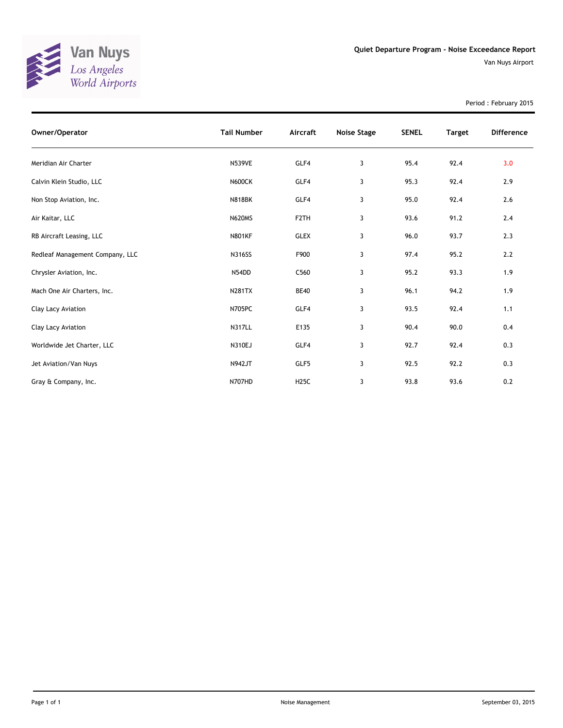

Period : February 2015

| Owner/Operator                  | <b>Tail Number</b> | Aircraft          | Noise Stage | <b>SENEL</b> | <b>Target</b> | <b>Difference</b> |
|---------------------------------|--------------------|-------------------|-------------|--------------|---------------|-------------------|
| Meridian Air Charter            | <b>N539VE</b>      | GLF4              | 3           | 95.4         | 92.4          | 3.0               |
| Calvin Klein Studio, LLC        | <b>N600CK</b>      | GLF4              | 3           | 95.3         | 92.4          | 2.9               |
| Non Stop Aviation, Inc.         | <b>N818BK</b>      | GLF4              | 3           | 95.0         | 92.4          | 2.6               |
| Air Kaitar, LLC                 | <b>N620MS</b>      | F <sub>2</sub> TH | 3           | 93.6         | 91.2          | 2.4               |
| RB Aircraft Leasing, LLC        | <b>N801KF</b>      | <b>GLEX</b>       | 3           | 96.0         | 93.7          | 2.3               |
| Redleaf Management Company, LLC | <b>N316SS</b>      | F900              | 3           | 97.4         | 95.2          | 2.2               |
| Chrysler Aviation, Inc.         | N54DD              | C560              | 3           | 95.2         | 93.3          | 1.9               |
| Mach One Air Charters, Inc.     | <b>N281TX</b>      | <b>BE40</b>       | 3           | 96.1         | 94.2          | 1.9               |
| Clay Lacy Aviation              | <b>N705PC</b>      | GLF4              | 3           | 93.5         | 92.4          | 1.1               |
| Clay Lacy Aviation              | <b>N317LL</b>      | E135              | 3           | 90.4         | 90.0          | 0.4               |
| Worldwide Jet Charter, LLC      | N310EJ             | GLF4              | 3           | 92.7         | 92.4          | 0.3               |
| Jet Aviation/Van Nuys           | <b>N942JT</b>      | GLF5              | 3           | 92.5         | 92.2          | 0.3               |
| Gray & Company, Inc.            | <b>N707HD</b>      | <b>H25C</b>       | 3           | 93.8         | 93.6          | 0.2               |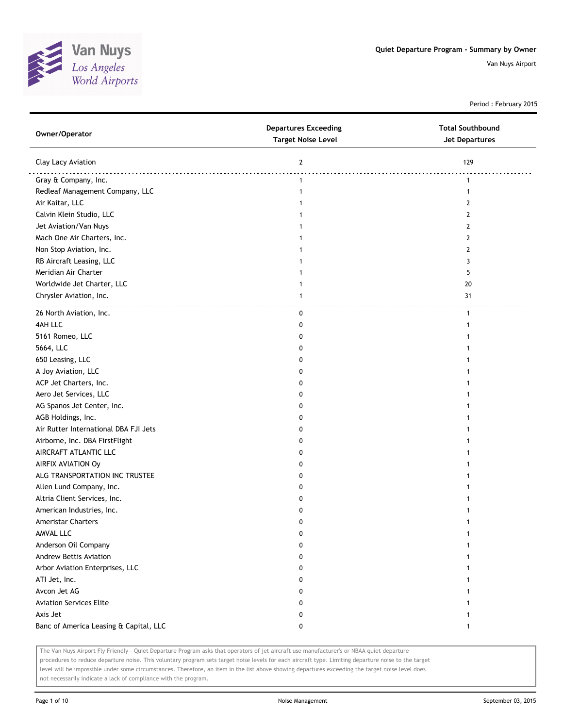

Period : February 2015

| Owner/Operator                         | <b>Departures Exceeding</b><br><b>Target Noise Level</b> | <b>Total Southbound</b><br><b>Jet Departures</b> |
|----------------------------------------|----------------------------------------------------------|--------------------------------------------------|
| Clay Lacy Aviation                     | $\mathbf{2}$                                             | 129                                              |
| Gray & Company, Inc.                   | $\mathbf{1}$                                             | $\mathbf{1}$                                     |
| Redleaf Management Company, LLC        | $\mathbf{1}$                                             | $\mathbf{1}$                                     |
| Air Kaitar, LLC                        | 1                                                        | 2                                                |
| Calvin Klein Studio, LLC               | 1                                                        | 2                                                |
| Jet Aviation/Van Nuys                  | 1                                                        | $\overline{2}$                                   |
| Mach One Air Charters, Inc.            | 1                                                        | $\overline{2}$                                   |
| Non Stop Aviation, Inc.                | 1                                                        | 2                                                |
| RB Aircraft Leasing, LLC               | 1                                                        | 3                                                |
| Meridian Air Charter                   | 1                                                        | 5                                                |
| Worldwide Jet Charter, LLC             | 1                                                        | 20                                               |
| Chrysler Aviation, Inc.                | 1                                                        | 31                                               |
| 26 North Aviation, Inc.                | 0                                                        | $\mathbf{1}$                                     |
| 4AH LLC                                | 0                                                        |                                                  |
| 5161 Romeo, LLC                        | 0                                                        |                                                  |
| 5664, LLC                              | 0                                                        |                                                  |
| 650 Leasing, LLC                       | 0                                                        |                                                  |
| A Joy Aviation, LLC                    | 0                                                        |                                                  |
| ACP Jet Charters, Inc.                 | 0                                                        |                                                  |
| Aero Jet Services, LLC                 | 0                                                        |                                                  |
| AG Spanos Jet Center, Inc.             | 0                                                        |                                                  |
| AGB Holdings, Inc.                     | 0                                                        |                                                  |
| Air Rutter International DBA FJI Jets  | 0                                                        |                                                  |
| Airborne, Inc. DBA FirstFlight         | 0                                                        |                                                  |
| AIRCRAFT ATLANTIC LLC                  | 0                                                        |                                                  |
| AIRFIX AVIATION Oy                     | 0                                                        |                                                  |
| ALG TRANSPORTATION INC TRUSTEE         | 0                                                        |                                                  |
| Allen Lund Company, Inc.               | 0                                                        |                                                  |
| Altria Client Services, Inc.           | 0                                                        |                                                  |
| American Industries, Inc.              | 0                                                        |                                                  |
| <b>Ameristar Charters</b>              | 0                                                        |                                                  |
| AMVAL LLC                              | 0                                                        |                                                  |
| Anderson Oil Company                   | 0                                                        |                                                  |
| Andrew Bettis Aviation                 | 0                                                        |                                                  |
| Arbor Aviation Enterprises, LLC        | 0                                                        |                                                  |
| ATI Jet, Inc.                          | 0                                                        |                                                  |
| Avcon Jet AG                           | 0                                                        |                                                  |
| <b>Aviation Services Elite</b>         | 0                                                        |                                                  |
| Axis Jet                               | 0                                                        |                                                  |
| Banc of America Leasing & Capital, LLC | 0                                                        | 1                                                |

The Van Nuys Airport Fly Friendly - Quiet Departure Program asks that operators of jet aircraft use manufacturer's or NBAA quiet departure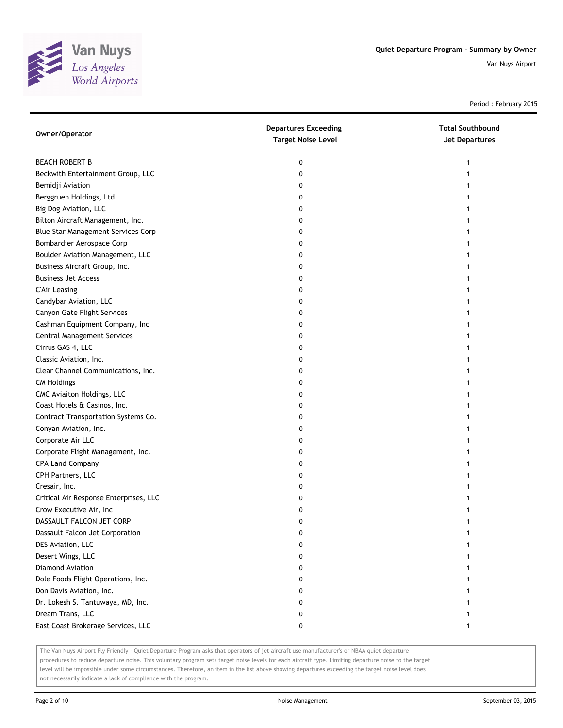

Period : February 2015

| Owner/Operator                         | <b>Departures Exceeding</b><br><b>Target Noise Level</b> | <b>Total Southbound</b><br>Jet Departures |
|----------------------------------------|----------------------------------------------------------|-------------------------------------------|
| <b>BEACH ROBERT B</b>                  | 0                                                        |                                           |
| Beckwith Entertainment Group, LLC      | 0                                                        |                                           |
| Bemidji Aviation                       | 0                                                        |                                           |
| Berggruen Holdings, Ltd.               | 0                                                        |                                           |
| Big Dog Aviation, LLC                  | 0                                                        |                                           |
| Bilton Aircraft Management, Inc.       | 0                                                        |                                           |
| Blue Star Management Services Corp     | 0                                                        |                                           |
| Bombardier Aerospace Corp              | 0                                                        |                                           |
| Boulder Aviation Management, LLC       | 0                                                        |                                           |
| Business Aircraft Group, Inc.          | 0                                                        |                                           |
| <b>Business Jet Access</b>             | 0                                                        |                                           |
| <b>C'Air Leasing</b>                   | 0                                                        |                                           |
| Candybar Aviation, LLC                 | 0                                                        |                                           |
| Canyon Gate Flight Services            | 0                                                        |                                           |
| Cashman Equipment Company, Inc         | 0                                                        |                                           |
| Central Management Services            | 0                                                        |                                           |
| Cirrus GAS 4, LLC                      | 0                                                        |                                           |
| Classic Aviation, Inc.                 | 0                                                        |                                           |
| Clear Channel Communications, Inc.     | 0                                                        |                                           |
| <b>CM Holdings</b>                     | 0                                                        |                                           |
| CMC Aviaiton Holdings, LLC             | 0                                                        |                                           |
| Coast Hotels & Casinos, Inc.           | 0                                                        |                                           |
| Contract Transportation Systems Co.    | 0                                                        |                                           |
| Conyan Aviation, Inc.                  | 0                                                        |                                           |
| Corporate Air LLC                      | 0                                                        |                                           |
| Corporate Flight Management, Inc.      | 0                                                        |                                           |
| CPA Land Company                       | 0                                                        |                                           |
| CPH Partners, LLC                      | 0                                                        |                                           |
| Cresair, Inc.                          | 0                                                        |                                           |
| Critical Air Response Enterprises, LLC | 0                                                        |                                           |
| Crow Executive Air, Inc                | 0                                                        |                                           |
| DASSAULT FALCON JET CORP               | 0                                                        |                                           |
| Dassault Falcon Jet Corporation        | U                                                        |                                           |
| DES Aviation, LLC                      | 0                                                        |                                           |
| Desert Wings, LLC                      | 0                                                        |                                           |
| Diamond Aviation                       | 0                                                        |                                           |
| Dole Foods Flight Operations, Inc.     | 0                                                        |                                           |
| Don Davis Aviation, Inc.               | 0                                                        |                                           |
| Dr. Lokesh S. Tantuwaya, MD, Inc.      | 0                                                        |                                           |
| Dream Trans, LLC                       | 0                                                        |                                           |
| East Coast Brokerage Services, LLC     | 0                                                        |                                           |

The Van Nuys Airport Fly Friendly - Quiet Departure Program asks that operators of jet aircraft use manufacturer's or NBAA quiet departure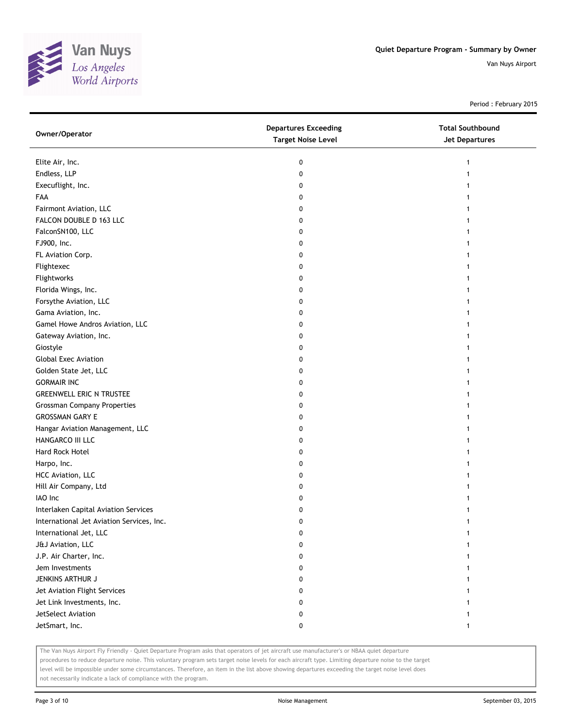

Period : February 2015

| Owner/Operator                            | <b>Departures Exceeding</b><br><b>Target Noise Level</b> | <b>Total Southbound</b><br>Jet Departures |
|-------------------------------------------|----------------------------------------------------------|-------------------------------------------|
| Elite Air, Inc.                           | 0                                                        | 1                                         |
| Endless, LLP                              | 0                                                        |                                           |
| Execuflight, Inc.                         | 0                                                        |                                           |
| FAA                                       | 0                                                        |                                           |
| Fairmont Aviation, LLC                    | 0                                                        |                                           |
| FALCON DOUBLE D 163 LLC                   | 0                                                        |                                           |
| FalconSN100, LLC                          | 0                                                        |                                           |
| FJ900, Inc.                               | 0                                                        |                                           |
| FL Aviation Corp.                         | 0                                                        |                                           |
| Flightexec                                | 0                                                        |                                           |
| Flightworks                               | 0                                                        |                                           |
| Florida Wings, Inc.                       | 0                                                        |                                           |
| Forsythe Aviation, LLC                    | 0                                                        |                                           |
| Gama Aviation, Inc.                       | 0                                                        |                                           |
| Gamel Howe Andros Aviation, LLC           | 0                                                        |                                           |
| Gateway Aviation, Inc.                    | 0                                                        | 1                                         |
| Giostyle                                  | 0                                                        |                                           |
| <b>Global Exec Aviation</b>               | 0                                                        |                                           |
| Golden State Jet, LLC                     | 0                                                        |                                           |
| <b>GORMAIR INC</b>                        | 0                                                        |                                           |
| <b>GREENWELL ERIC N TRUSTEE</b>           | 0                                                        |                                           |
| <b>Grossman Company Properties</b>        | 0                                                        |                                           |
| <b>GROSSMAN GARY E</b>                    | 0                                                        |                                           |
| Hangar Aviation Management, LLC           | 0                                                        |                                           |
| HANGARCO III LLC                          | 0                                                        |                                           |
| Hard Rock Hotel                           | 0                                                        |                                           |
| Harpo, Inc.                               | 0                                                        |                                           |
| HCC Aviation, LLC                         | 0                                                        |                                           |
| Hill Air Company, Ltd                     | 0                                                        |                                           |
| IAO Inc                                   | 0                                                        |                                           |
| Interlaken Capital Aviation Services      | 0                                                        |                                           |
| International Jet Aviation Services, Inc. | 0                                                        |                                           |
| International Jet, LLC                    | 0                                                        |                                           |
| J&J Aviation, LLC                         | 0                                                        |                                           |
| J.P. Air Charter, Inc.                    | 0                                                        |                                           |
| Jem Investments                           | 0                                                        |                                           |
| JENKINS ARTHUR J                          | 0                                                        |                                           |
| Jet Aviation Flight Services              | 0                                                        |                                           |
| Jet Link Investments, Inc.                | 0                                                        |                                           |
| JetSelect Aviation                        | 0                                                        |                                           |
| JetSmart, Inc.                            | 0                                                        | 1                                         |
|                                           |                                                          |                                           |

The Van Nuys Airport Fly Friendly - Quiet Departure Program asks that operators of jet aircraft use manufacturer's or NBAA quiet departure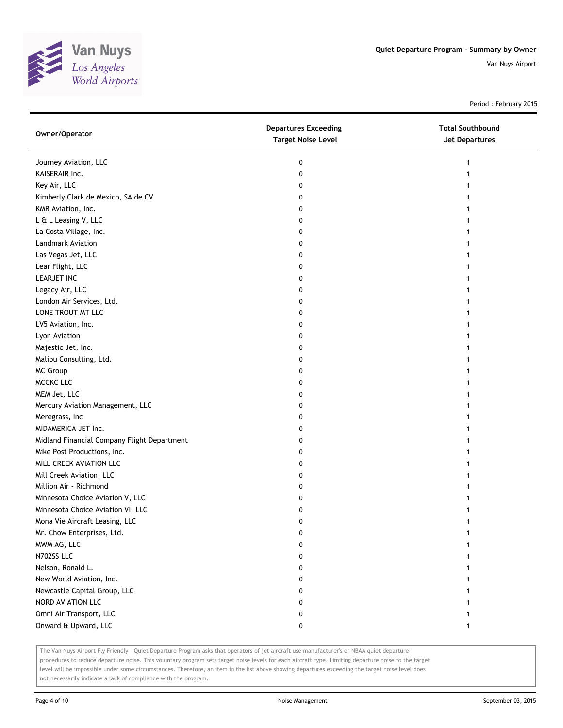

Period : February 2015

| Owner/Operator                              | <b>Departures Exceeding</b><br><b>Target Noise Level</b> | <b>Total Southbound</b><br><b>Jet Departures</b> |
|---------------------------------------------|----------------------------------------------------------|--------------------------------------------------|
| Journey Aviation, LLC                       | 0                                                        |                                                  |
| KAISERAIR Inc.                              | 0                                                        |                                                  |
| Key Air, LLC                                | 0                                                        |                                                  |
| Kimberly Clark de Mexico, SA de CV          | 0                                                        |                                                  |
| KMR Aviation, Inc.                          | 0                                                        |                                                  |
| L & L Leasing V, LLC                        | 0                                                        |                                                  |
| La Costa Village, Inc.                      | 0                                                        |                                                  |
| Landmark Aviation                           | 0                                                        |                                                  |
| Las Vegas Jet, LLC                          | 0                                                        |                                                  |
| Lear Flight, LLC                            | 0                                                        |                                                  |
| LEARJET INC                                 | 0                                                        |                                                  |
| Legacy Air, LLC                             | 0                                                        |                                                  |
| London Air Services, Ltd.                   | 0                                                        |                                                  |
| LONE TROUT MT LLC                           | 0                                                        |                                                  |
| LV5 Aviation, Inc.                          | 0                                                        |                                                  |
| Lyon Aviation                               | 0                                                        |                                                  |
| Majestic Jet, Inc.                          | 0                                                        |                                                  |
| Malibu Consulting, Ltd.                     | 0                                                        |                                                  |
| MC Group                                    | 0                                                        |                                                  |
| MCCKC LLC                                   | 0                                                        |                                                  |
| MEM Jet, LLC                                | 0                                                        |                                                  |
| Mercury Aviation Management, LLC            | 0                                                        |                                                  |
| Meregrass, Inc                              | 0                                                        |                                                  |
| MIDAMERICA JET Inc.                         | 0                                                        |                                                  |
| Midland Financial Company Flight Department | 0                                                        |                                                  |
| Mike Post Productions, Inc.                 | 0                                                        |                                                  |
| MILL CREEK AVIATION LLC                     | 0                                                        |                                                  |
| Mill Creek Aviation, LLC                    | 0                                                        |                                                  |
| Million Air - Richmond                      | 0                                                        |                                                  |
| Minnesota Choice Aviation V, LLC            | 0                                                        |                                                  |
| Minnesota Choice Aviation VI, LLC           | 0                                                        |                                                  |
| Mona Vie Aircraft Leasing, LLC              | 0                                                        |                                                  |
| Mr. Chow Enterprises, Ltd.                  | 0                                                        |                                                  |
| MWM AG, LLC                                 | 0                                                        |                                                  |
| N702SS LLC                                  | 0                                                        |                                                  |
| Nelson, Ronald L.                           | 0                                                        |                                                  |
| New World Aviation, Inc.                    | 0                                                        |                                                  |
| Newcastle Capital Group, LLC                | 0                                                        |                                                  |
| NORD AVIATION LLC                           | 0                                                        | 1                                                |
| Omni Air Transport, LLC                     | 0                                                        | 1                                                |
| Onward & Upward, LLC                        | 0                                                        | $\mathbf{1}$                                     |

The Van Nuys Airport Fly Friendly - Quiet Departure Program asks that operators of jet aircraft use manufacturer's or NBAA quiet departure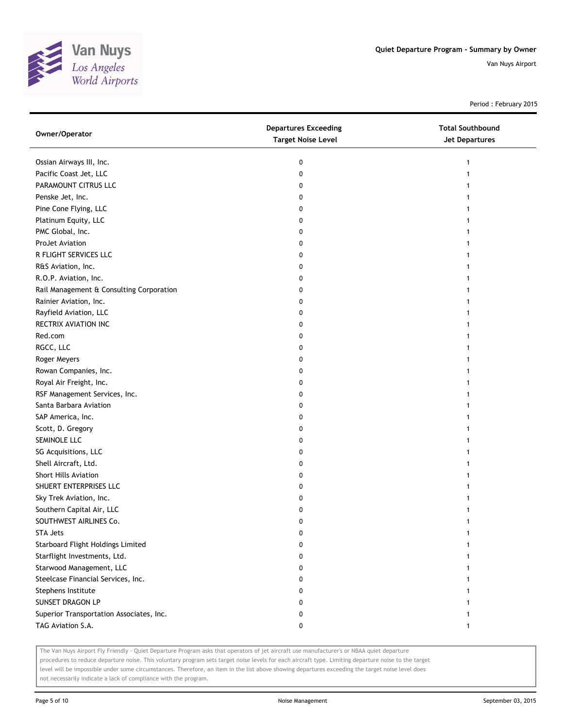

Period : February 2015

| Owner/Operator                           | <b>Departures Exceeding</b><br><b>Target Noise Level</b> | <b>Total Southbound</b><br>Jet Departures |
|------------------------------------------|----------------------------------------------------------|-------------------------------------------|
| Ossian Airways III, Inc.                 | 0                                                        | 1                                         |
| Pacific Coast Jet, LLC                   | 0                                                        |                                           |
| PARAMOUNT CITRUS LLC                     | 0                                                        |                                           |
| Penske Jet, Inc.                         | 0                                                        |                                           |
| Pine Cone Flying, LLC                    | 0                                                        |                                           |
| Platinum Equity, LLC                     | 0                                                        |                                           |
| PMC Global, Inc.                         | 0                                                        |                                           |
| ProJet Aviation                          | 0                                                        |                                           |
| R FLIGHT SERVICES LLC                    | 0                                                        |                                           |
| R&S Aviation, Inc.                       | 0                                                        |                                           |
| R.O.P. Aviation, Inc.                    | 0                                                        |                                           |
| Rail Management & Consulting Corporation | 0                                                        |                                           |
| Rainier Aviation, Inc.                   | 0                                                        |                                           |
| Rayfield Aviation, LLC                   | 0                                                        |                                           |
| RECTRIX AVIATION INC                     | 0                                                        |                                           |
| Red.com                                  | 0                                                        |                                           |
| RGCC, LLC                                | 0                                                        |                                           |
| Roger Meyers                             | 0                                                        |                                           |
| Rowan Companies, Inc.                    | 0                                                        |                                           |
| Royal Air Freight, Inc.                  | 0                                                        |                                           |
| RSF Management Services, Inc.            | 0                                                        |                                           |
| Santa Barbara Aviation                   | 0                                                        |                                           |
| SAP America, Inc.                        | 0                                                        |                                           |
| Scott, D. Gregory                        | 0                                                        |                                           |
| SEMINOLE LLC                             | 0                                                        |                                           |
| SG Acquisitions, LLC                     | 0                                                        |                                           |
| Shell Aircraft, Ltd.                     | 0                                                        |                                           |
| Short Hills Aviation                     | 0                                                        |                                           |
| SHUERT ENTERPRISES LLC                   | 0                                                        |                                           |
| Sky Trek Aviation, Inc.                  | 0                                                        |                                           |
| Southern Capital Air, LLC                | 0                                                        |                                           |
| SOUTHWEST AIRLINES Co.                   | 0                                                        |                                           |
| <b>STA Jets</b>                          | 0                                                        |                                           |
| Starboard Flight Holdings Limited        | 0                                                        |                                           |
| Starflight Investments, Ltd.             | 0                                                        |                                           |
| Starwood Management, LLC                 | 0                                                        |                                           |
| Steelcase Financial Services, Inc.       | 0                                                        |                                           |
| Stephens Institute                       | 0                                                        |                                           |
| SUNSET DRAGON LP                         | 0                                                        |                                           |
| Superior Transportation Associates, Inc. | 0                                                        |                                           |
| TAG Aviation S.A.                        | 0                                                        |                                           |

The Van Nuys Airport Fly Friendly - Quiet Departure Program asks that operators of jet aircraft use manufacturer's or NBAA quiet departure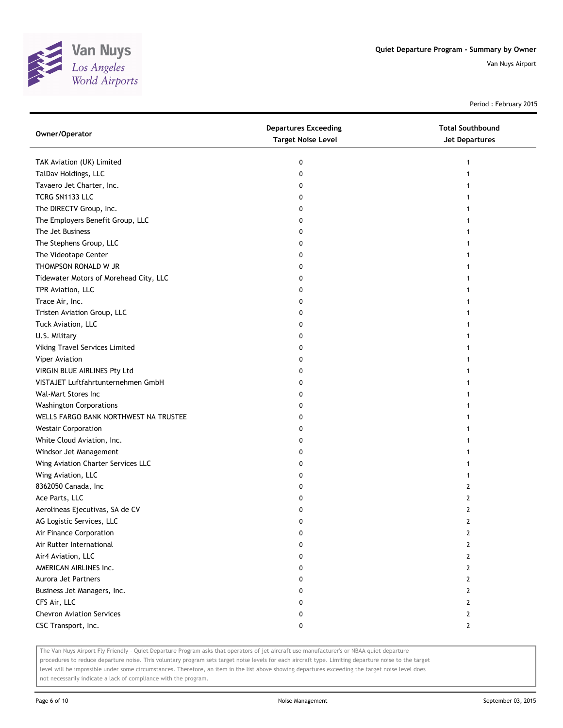

Period : February 2015

| Owner/Operator                         | <b>Departures Exceeding</b><br><b>Target Noise Level</b> | <b>Total Southbound</b><br><b>Jet Departures</b> |
|----------------------------------------|----------------------------------------------------------|--------------------------------------------------|
| TAK Aviation (UK) Limited              | 0                                                        | 1                                                |
| TalDav Holdings, LLC                   | 0                                                        |                                                  |
| Tavaero Jet Charter, Inc.              | 0                                                        |                                                  |
| TCRG SN1133 LLC                        | 0                                                        |                                                  |
| The DIRECTV Group, Inc.                | 0                                                        |                                                  |
| The Employers Benefit Group, LLC       | 0                                                        |                                                  |
| The Jet Business                       | 0                                                        |                                                  |
| The Stephens Group, LLC                | 0                                                        |                                                  |
| The Videotape Center                   | 0                                                        |                                                  |
| THOMPSON RONALD W JR                   | 0                                                        |                                                  |
| Tidewater Motors of Morehead City, LLC | 0                                                        |                                                  |
| TPR Aviation, LLC                      | 0                                                        |                                                  |
| Trace Air, Inc.                        | 0                                                        |                                                  |
| Tristen Aviation Group, LLC            | 0                                                        |                                                  |
| Tuck Aviation, LLC                     | 0                                                        |                                                  |
| U.S. Military                          | 0                                                        |                                                  |
| Viking Travel Services Limited         | 0                                                        |                                                  |
| Viper Aviation                         | 0                                                        |                                                  |
| VIRGIN BLUE AIRLINES Pty Ltd           | 0                                                        |                                                  |
| VISTAJET Luftfahrtunternehmen GmbH     | 0                                                        |                                                  |
| Wal-Mart Stores Inc                    | 0                                                        |                                                  |
| <b>Washington Corporations</b>         | 0                                                        |                                                  |
| WELLS FARGO BANK NORTHWEST NA TRUSTEE  | 0                                                        |                                                  |
| <b>Westair Corporation</b>             | 0                                                        |                                                  |
| White Cloud Aviation, Inc.             | 0                                                        |                                                  |
| Windsor Jet Management                 | 0                                                        |                                                  |
| Wing Aviation Charter Services LLC     | 0                                                        |                                                  |
| Wing Aviation, LLC                     | 0                                                        | 1                                                |
| 8362050 Canada, Inc                    | 0                                                        | 2                                                |
| Ace Parts, LLC                         | 0                                                        | 2                                                |
| Aerolineas Ejecutivas, SA de CV        | 0                                                        | 2                                                |
| AG Logistic Services, LLC              | 0                                                        | 2                                                |
| Air Finance Corporation                | o                                                        | $\mathbf{z}$                                     |
| Air Rutter International               | 0                                                        | 2                                                |
| Air4 Aviation, LLC                     | 0                                                        | 2                                                |
| AMERICAN AIRLINES Inc.                 | 0                                                        | 2                                                |
| Aurora Jet Partners                    | 0                                                        | 2                                                |
| Business Jet Managers, Inc.            | 0                                                        | $\mathbf{2}$                                     |
| CFS Air, LLC                           | 0                                                        | 2                                                |
| <b>Chevron Aviation Services</b>       | 0                                                        | 2                                                |
| CSC Transport, Inc.                    | 0                                                        | $\mathbf{2}$                                     |

The Van Nuys Airport Fly Friendly - Quiet Departure Program asks that operators of jet aircraft use manufacturer's or NBAA quiet departure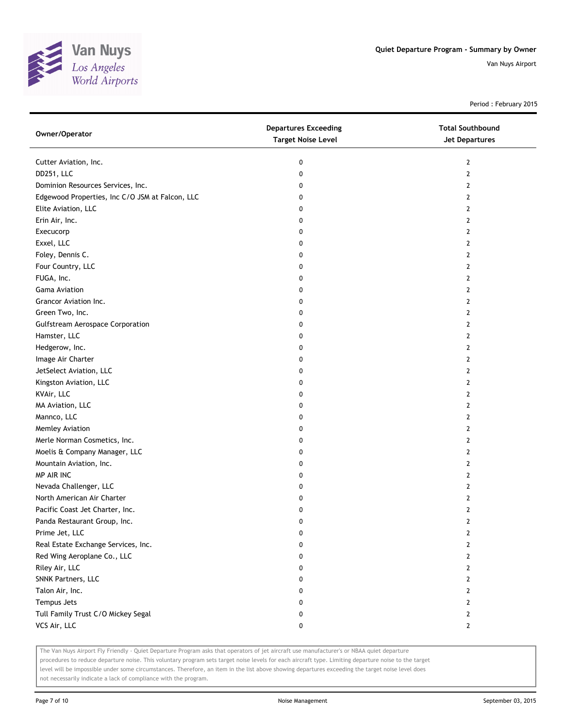

Period : February 2015

| Owner/Operator                                  | <b>Departures Exceeding</b><br><b>Target Noise Level</b> | <b>Total Southbound</b><br><b>Jet Departures</b> |
|-------------------------------------------------|----------------------------------------------------------|--------------------------------------------------|
| Cutter Aviation, Inc.                           | 0                                                        | $\mathbf{2}$                                     |
| DD251, LLC                                      | 0                                                        | $\overline{2}$                                   |
| Dominion Resources Services, Inc.               | 0                                                        | 2                                                |
| Edgewood Properties, Inc C/O JSM at Falcon, LLC | 0                                                        | 2                                                |
| Elite Aviation, LLC                             | 0                                                        | 2                                                |
| Erin Air, Inc.                                  | 0                                                        | $\overline{2}$                                   |
| Execucorp                                       | 0                                                        | 2                                                |
| Exxel, LLC                                      | 0                                                        | 2                                                |
| Foley, Dennis C.                                | 0                                                        | 2                                                |
| Four Country, LLC                               | 0                                                        | 2                                                |
| FUGA, Inc.                                      | 0                                                        | $\overline{2}$                                   |
| Gama Aviation                                   | 0                                                        | $\overline{2}$                                   |
| Grancor Aviation Inc.                           | 0                                                        | 2                                                |
| Green Two, Inc.                                 | 0                                                        | 2                                                |
| <b>Gulfstream Aerospace Corporation</b>         | 0                                                        | 2                                                |
| Hamster, LLC                                    | 0                                                        | 2                                                |
| Hedgerow, Inc.                                  | 0                                                        | 2                                                |
| Image Air Charter                               | 0                                                        | 2                                                |
| JetSelect Aviation, LLC                         | 0                                                        | 2                                                |
| Kingston Aviation, LLC                          | 0                                                        | $\overline{2}$                                   |
| KVAir, LLC                                      | 0                                                        | 2                                                |
| MA Aviation, LLC                                | 0                                                        | $\overline{2}$                                   |
| Mannco, LLC                                     | 0                                                        | 2                                                |
| Memley Aviation                                 | 0                                                        | 2                                                |
| Merle Norman Cosmetics, Inc.                    | 0                                                        | $\overline{2}$                                   |
| Moelis & Company Manager, LLC                   | 0                                                        | $\mathbf{2}$                                     |
| Mountain Aviation, Inc.                         | 0                                                        | 2                                                |
| MP AIR INC                                      | 0                                                        | 2                                                |
| Nevada Challenger, LLC                          | 0                                                        | 2                                                |
| North American Air Charter                      | 0                                                        | 2                                                |
| Pacific Coast Jet Charter, Inc.                 | 0                                                        | 2                                                |
| Panda Restaurant Group, Inc.                    | 0                                                        | $\overline{2}$                                   |
| Prime Jet, LLC                                  | 0                                                        | 2                                                |
| Real Estate Exchange Services, Inc.             | 0                                                        | $\mathbf{2}$                                     |
| Red Wing Aeroplane Co., LLC                     | 0                                                        | $\mathbf{2}$                                     |
| Riley Air, LLC                                  | 0                                                        | $\mathbf{2}$                                     |
| SNNK Partners, LLC                              | 0                                                        | $\mathbf{2}$                                     |
| Talon Air, Inc.                                 | 0                                                        | 2                                                |
| Tempus Jets                                     | 0                                                        | 2                                                |
| Tull Family Trust C/O Mickey Segal              | 0                                                        | 2                                                |
| VCS Air, LLC                                    | 0                                                        | $\mathbf{2}$                                     |

The Van Nuys Airport Fly Friendly - Quiet Departure Program asks that operators of jet aircraft use manufacturer's or NBAA quiet departure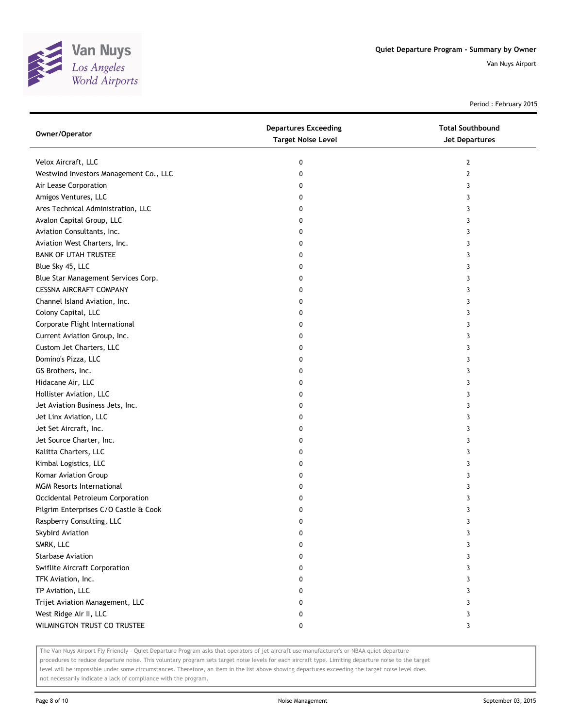

Period : February 2015

| Owner/Operator                         | <b>Departures Exceeding</b><br><b>Target Noise Level</b> | <b>Total Southbound</b><br><b>Jet Departures</b> |
|----------------------------------------|----------------------------------------------------------|--------------------------------------------------|
| Velox Aircraft, LLC                    | 0                                                        | 2                                                |
| Westwind Investors Management Co., LLC | 0                                                        | $\overline{2}$                                   |
| Air Lease Corporation                  | 0                                                        | 3                                                |
| Amigos Ventures, LLC                   | 0                                                        | 3                                                |
| Ares Technical Administration, LLC     | 0                                                        | 3                                                |
| Avalon Capital Group, LLC              | 0                                                        | 3                                                |
| Aviation Consultants, Inc.             | 0                                                        | 3                                                |
| Aviation West Charters, Inc.           | 0                                                        | 3                                                |
| <b>BANK OF UTAH TRUSTEE</b>            | 0                                                        | 3                                                |
| Blue Sky 45, LLC                       | 0                                                        | 3                                                |
| Blue Star Management Services Corp.    | 0                                                        | 3                                                |
| CESSNA AIRCRAFT COMPANY                | 0                                                        | 3                                                |
| Channel Island Aviation, Inc.          | 0                                                        | 3                                                |
| Colony Capital, LLC                    | 0                                                        | 3                                                |
| Corporate Flight International         | 0                                                        | 3                                                |
| Current Aviation Group, Inc.           | 0                                                        | 3                                                |
| Custom Jet Charters, LLC               | 0                                                        | 3                                                |
| Domino's Pizza, LLC                    | 0                                                        | 3                                                |
| GS Brothers, Inc.                      | 0                                                        | 3                                                |
| Hidacane Air, LLC                      | 0                                                        | 3                                                |
| Hollister Aviation, LLC                | 0                                                        | 3                                                |
| Jet Aviation Business Jets, Inc.       | 0                                                        | 3                                                |
| Jet Linx Aviation, LLC                 | 0                                                        | 3                                                |
| Jet Set Aircraft, Inc.                 | 0                                                        | 3                                                |
| Jet Source Charter, Inc.               | 0                                                        | 3                                                |
| Kalitta Charters, LLC                  | 0                                                        | 3                                                |
| Kimbal Logistics, LLC                  | 0                                                        | 3                                                |
| Komar Aviation Group                   | 0                                                        | 3                                                |
| <b>MGM Resorts International</b>       | 0                                                        | 3                                                |
| Occidental Petroleum Corporation       | 0                                                        | 3                                                |
| Pilgrim Enterprises C/O Castle & Cook  | 0                                                        | 3                                                |
| Raspberry Consulting, LLC              | 0                                                        | 3                                                |
| Skybird Aviation                       | U                                                        | 3                                                |
| SMRK, LLC                              | 0                                                        | 3                                                |
| <b>Starbase Aviation</b>               | 0                                                        | 3                                                |
| Swiflite Aircraft Corporation          | 0                                                        | 3                                                |
| TFK Aviation, Inc.                     | 0                                                        | 3                                                |
| TP Aviation, LLC                       | 0                                                        | 3                                                |
| Trijet Aviation Management, LLC        | 0                                                        | 3                                                |
| West Ridge Air II, LLC                 | 0                                                        | 3                                                |
| WILMINGTON TRUST CO TRUSTEE            | 0                                                        | 3                                                |

The Van Nuys Airport Fly Friendly - Quiet Departure Program asks that operators of jet aircraft use manufacturer's or NBAA quiet departure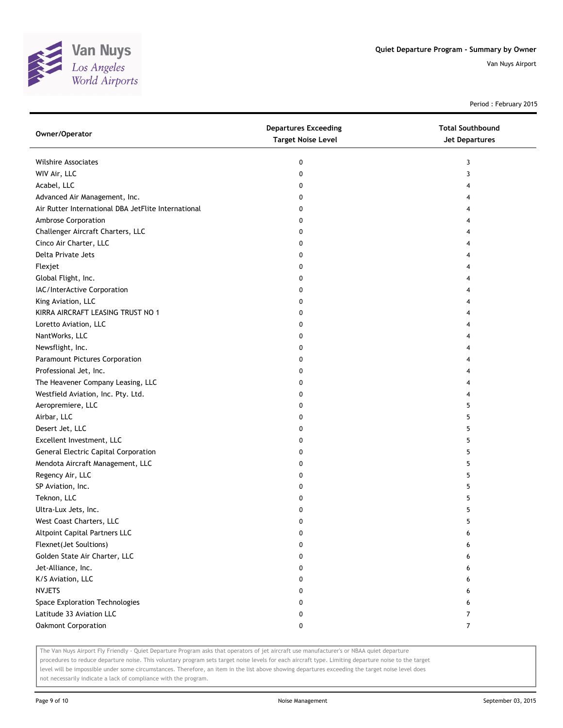

Period : February 2015

| Owner/Operator                                      | <b>Departures Exceeding</b><br><b>Target Noise Level</b> | <b>Total Southbound</b><br>Jet Departures |
|-----------------------------------------------------|----------------------------------------------------------|-------------------------------------------|
| <b>Wilshire Associates</b>                          | 0                                                        | 3                                         |
| WIV Air, LLC                                        | 0                                                        | 3                                         |
| Acabel, LLC                                         | 0                                                        | 4                                         |
| Advanced Air Management, Inc.                       | 0                                                        | 4                                         |
| Air Rutter International DBA JetFlite International | 0                                                        | 4                                         |
| Ambrose Corporation                                 | 0                                                        | 4                                         |
| Challenger Aircraft Charters, LLC                   | 0                                                        | 4                                         |
| Cinco Air Charter, LLC                              | 0                                                        | 4                                         |
| Delta Private Jets                                  | 0                                                        | 4                                         |
| Flexjet                                             | 0                                                        | 4                                         |
| Global Flight, Inc.                                 | 0                                                        | 4                                         |
| IAC/InterActive Corporation                         | 0                                                        | 4                                         |
| King Aviation, LLC                                  | 0                                                        |                                           |
| KIRRA AIRCRAFT LEASING TRUST NO 1                   | 0                                                        | 4                                         |
| Loretto Aviation, LLC                               | 0                                                        | 4                                         |
| NantWorks, LLC                                      | 0                                                        | 4                                         |
| Newsflight, Inc.                                    | 0                                                        | 4                                         |
| Paramount Pictures Corporation                      | 0                                                        | 4                                         |
| Professional Jet, Inc.                              | 0                                                        | 4                                         |
| The Heavener Company Leasing, LLC                   | 0                                                        | 4                                         |
| Westfield Aviation, Inc. Pty. Ltd.                  | 0                                                        | 4                                         |
| Aeropremiere, LLC                                   | 0                                                        | 5                                         |
| Airbar, LLC                                         | 0                                                        | 5                                         |
| Desert Jet, LLC                                     | 0                                                        | 5                                         |
| Excellent Investment, LLC                           | 0                                                        | 5                                         |
| <b>General Electric Capital Corporation</b>         | 0                                                        | 5                                         |
| Mendota Aircraft Management, LLC                    | 0                                                        | 5                                         |
| Regency Air, LLC                                    | 0                                                        | 5                                         |
| SP Aviation, Inc.                                   | 0                                                        | 5                                         |
| Teknon, LLC                                         | 0                                                        | 5                                         |
| Ultra-Lux Jets, Inc.                                | 0                                                        | 5                                         |
| West Coast Charters, LLC                            | 0                                                        | 5                                         |
| Altpoint Capital Partners LLC                       | U                                                        | 6                                         |
| Flexnet(Jet Soultions)                              | 0                                                        | 6                                         |
| Golden State Air Charter, LLC                       | 0                                                        | 6                                         |
| Jet-Alliance, Inc.                                  | 0                                                        | 6                                         |
| K/S Aviation, LLC                                   | 0                                                        | 6                                         |
| <b>NVJETS</b>                                       | 0                                                        | 6                                         |
| Space Exploration Technologies                      | 0                                                        | 6                                         |
| Latitude 33 Aviation LLC                            | 0                                                        | 7                                         |
| <b>Oakmont Corporation</b>                          | 0                                                        | $\overline{7}$                            |

The Van Nuys Airport Fly Friendly - Quiet Departure Program asks that operators of jet aircraft use manufacturer's or NBAA quiet departure